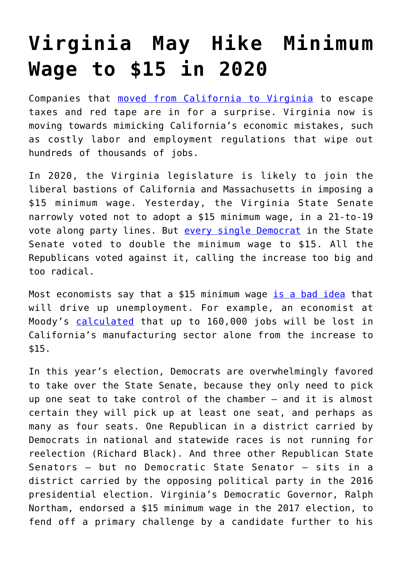## **[Virginia May Hike Minimum](https://intellectualtakeout.org/2019/01/virginia-may-hike-minimum-wage-to-15-in-2020/) [Wage to \\$15 in 2020](https://intellectualtakeout.org/2019/01/virginia-may-hike-minimum-wage-to-15-in-2020/)**

Companies that [moved from California to Virginia](https://medium.com/fee-org/chocolate-and-rocket-factories-ditching-california-for-sunnier-tax-rates-hans-bader-e95802f68081) to escape taxes and red tape are in for a surprise. Virginia now is moving towards mimicking California's economic mistakes, such as costly labor and employment regulations that wipe out hundreds of thousands of jobs.

In 2020, the Virginia legislature is likely to join the liberal bastions of California and Massachusetts in imposing a \$15 minimum wage. Yesterday, the Virginia State Senate narrowly voted not to adopt a \$15 minimum wage, in a 21-to-19 vote along party lines. But [every single Democrat](https://www.richmond.com/news/virginia/government-politics/general-assembly/va-senate-republicans-take-up-minimum-wage-and-kill-it/article_12ef9ec9-349a-5050-8188-c9ccb2299ede.htm) in the State Senate voted to double the minimum wage to \$15. All the Republicans voted against it, calling the increase too big and too radical.

Most economists say that a \$15 minimum wage [is a bad idea](https://www.epionline.org/release/new-survey-finds-72-percent-of-u-s-economists-oppose-a-15-federal-minimum-wage/) that will drive up unemployment. For example, an economist at Moody's [calculated](https://www.washingtonpost.com/business/economy/calif-governor-announces-plan-to-raise-minimum-wage-to-15-an-hour-by-2022/2016/03/28/c5ca8486-f50a-11e5-9804-537defcc3cf6_story.html) that up to 160,000 jobs will be lost in California's manufacturing sector alone from the increase to \$15.

In this year's election, Democrats are overwhelmingly favored to take over the State Senate, because they only need to pick up one seat to take control of the chamber — and it is almost certain they will pick up at least one seat, and perhaps as many as four seats. One Republican in a district carried by Democrats in national and statewide races is not running for reelection (Richard Black). And three other Republican State Senators — but no Democratic State Senator — sits in a district carried by the opposing political party in the 2016 presidential election. Virginia's Democratic Governor, Ralph Northam, endorsed a \$15 minimum wage in the 2017 election, to fend off a primary challenge by a candidate further to his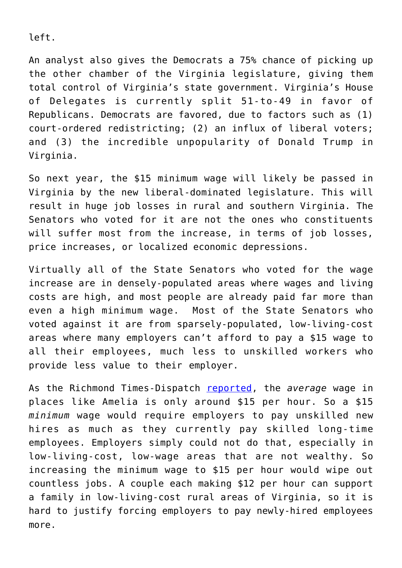left.

An analyst also gives the Democrats a 75% chance of picking up the other chamber of the Virginia legislature, giving them total control of Virginia's state government. Virginia's House of Delegates is currently split 51-to-49 in favor of Republicans. Democrats are favored, due to factors such as (1) court-ordered redistricting; (2) an influx of liberal voters; and (3) the incredible unpopularity of Donald Trump in Virginia.

So next year, the \$15 minimum wage will likely be passed in Virginia by the new liberal-dominated legislature. This will result in huge job losses in rural and southern Virginia. The Senators who voted for it are not the ones who constituents will suffer most from the increase, in terms of job losses, price increases, or localized economic depressions.

Virtually all of the State Senators who voted for the wage increase are in densely-populated areas where wages and living costs are high, and most people are already paid far more than even a high minimum wage. Most of the State Senators who voted against it are from sparsely-populated, low-living-cost areas where many employers can't afford to pay a \$15 wage to all their employees, much less to unskilled workers who provide less value to their employer.

As the Richmond Times-Dispatch [reported](https://www.richmond.com/opinion/our-opinion/editorial-on-the-minimum-wage-democrats-northam-and-perriello-go/article_f1abda2f-0b48-5ab4-b6ec-c4652201913d.html), the *average* wage in places like Amelia is only around \$15 per hour. So a \$15 *minimum* wage would require employers to pay unskilled new hires as much as they currently pay skilled long-time employees. Employers simply could not do that, especially in low-living-cost, low-wage areas that are not wealthy. So increasing the minimum wage to \$15 per hour would wipe out countless jobs. A couple each making \$12 per hour can support a family in low-living-cost rural areas of Virginia, so it is hard to justify forcing employers to pay newly-hired employees more.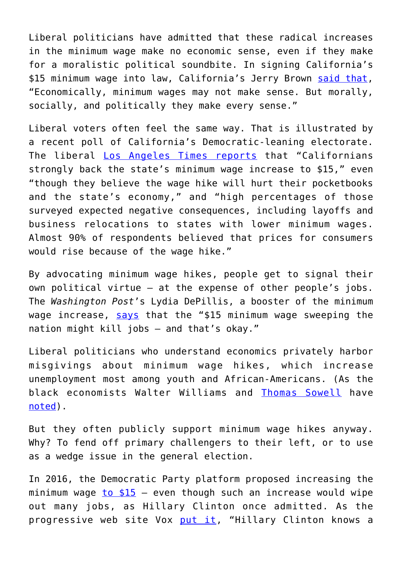Liberal politicians have admitted that these radical increases in the minimum wage make no economic sense, even if they make for a moralistic political soundbite. In signing California's \$15 minimum wage into law, California's Jerry Brown [said that,](https://reason.com/blog/2016/04/04/gov-brown-admits-15-minimum-wage-does-no) "Economically, minimum wages may not make sense. But morally, socially, and politically they make every sense."

Liberal voters often feel the same way. That is illustrated by a recent poll of California's Democratic-leaning electorate. The liberal [Los Angeles Times reports](http://www.latimes.com/politics/la-pol-ca-latimes-minimum-wage-primary-poll-20160609-snap-story.html) that "Californians strongly back the state's minimum wage increase to \$15," even "though they believe the wage hike will hurt their pocketbooks and the state's economy," and "high percentages of those surveyed expected negative consequences, including layoffs and business relocations to states with lower minimum wages. Almost 90% of respondents believed that prices for consumers would rise because of the wage hike."

By advocating minimum wage hikes, people get to signal their own political virtue — at the expense of other people's jobs. The *Washington Post*'s Lydia DePillis, a booster of the minimum wage increase, [says](https://www.washingtonpost.com/news/wonk/wp/2016/04/01/the-15-minimum-wage-sweeping-the-nation-might-kill-jobs-and-thats-okay/) that the "\$15 minimum wage sweeping the nation might kill jobs — and that's okay."

Liberal politicians who understand economics privately harbor misgivings about minimum wage hikes, which increase unemployment most among youth and African-Americans. (As the black economists Walter Williams and [Thomas Sowell](https://townhall.com/columnists/thomassowell/2013/09/17/minimum-wage-madness-n1701840) have [noted](http://townhall.com/columnists/thomassowell/2013/09/17/minimum-wage-madness-part-ii-n1701833/page/full)).

But they often publicly support minimum wage hikes anyway. Why? To fend off primary challengers to their left, or to use as a wedge issue in the general election.

In 2016, the Democratic Party platform proposed increasing the minimum wage  $to $15 -$  $to $15 -$  $to $15 -$  even though such an increase would wipe</u> out many jobs, as Hillary Clinton once admitted. As the progressive web site Vox [put it,](https://www.vox.com/2016/4/15/11436868/hillary-clinton-fights-for-15) "Hillary Clinton knows a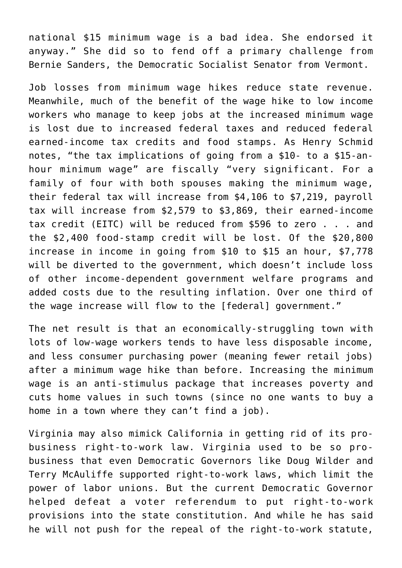national \$15 minimum wage is a bad idea. She endorsed it anyway." She did so to fend off a primary challenge from Bernie Sanders, the Democratic Socialist Senator from Vermont.

Job losses from minimum wage hikes reduce state revenue. Meanwhile, much of the benefit of the wage hike to low income workers who manage to keep jobs at the increased minimum wage is lost due to increased federal taxes and reduced federal earned-income tax credits and food stamps. As Henry Schmid notes, "the tax implications of going from a \$10- to a \$15-anhour minimum wage" are fiscally "very significant. For a family of four with both spouses making the minimum wage, their federal tax will increase from \$4,106 to \$7,219, payroll tax will increase from \$2,579 to \$3,869, their earned-income tax credit (EITC) will be reduced from \$596 to zero . . . and the \$2,400 food-stamp credit will be lost. Of the \$20,800 increase in income in going from \$10 to \$15 an hour, \$7,778 will be diverted to the government, which doesn't include loss of other income-dependent government welfare programs and added costs due to the resulting inflation. Over one third of the wage increase will flow to the [federal] government."

The net result is that an economically-struggling town with lots of low-wage workers tends to have less disposable income, and less consumer purchasing power (meaning fewer retail jobs) after a minimum wage hike than before. Increasing the minimum wage is an anti-stimulus package that increases poverty and cuts home values in such towns (since no one wants to buy a home in a town where they can't find a job).

Virginia may also mimick California in getting rid of its probusiness right-to-work law. Virginia used to be so probusiness that even Democratic Governors like Doug Wilder and Terry McAuliffe supported right-to-work laws, which limit the power of labor unions. But the current Democratic Governor helped defeat a voter referendum to put right-to-work provisions into the state constitution. And while he has said he will not push for the repeal of the right-to-work statute,